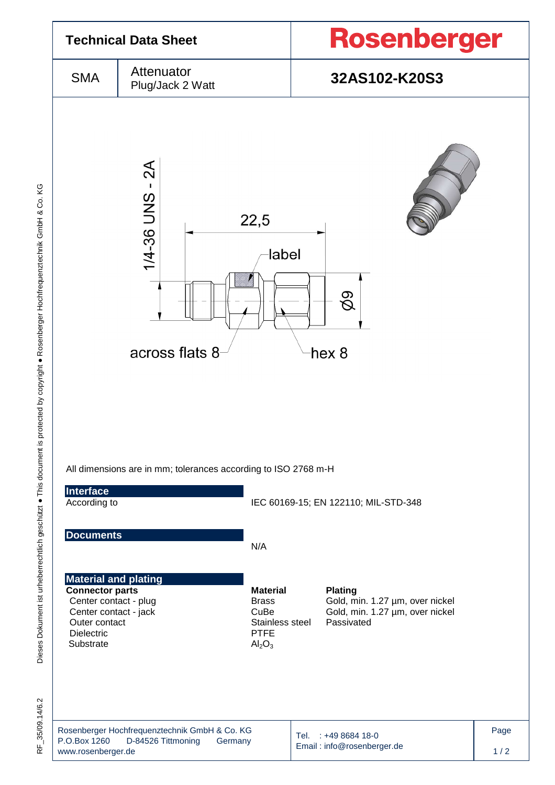

35/09.14/6.2 눈